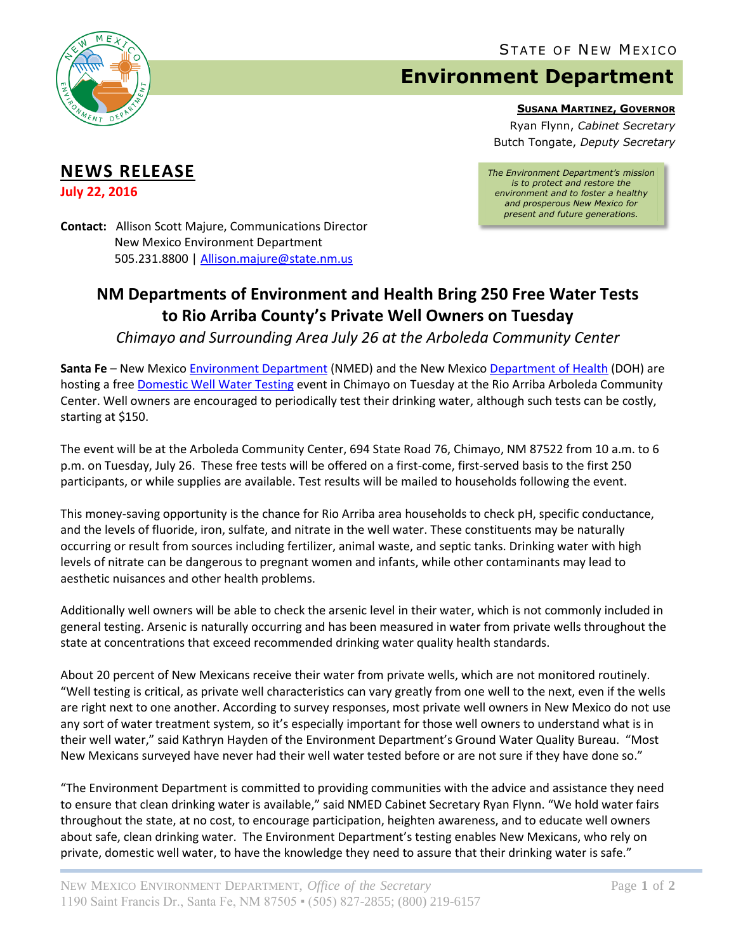

## **Environment Department**

**SUSANA MARTINEZ, GOVERNOR**

Ryan Flynn, *Cabinet Secretary* Butch Tongate, *Deputy Secretary*

## **NEWS RELEASE**

**July 22, 2016**

*The Environment Department's mission is to protect and restore the environment and to foster a healthy and prosperous New Mexico for present and future generations.*

**Contact:** Allison Scott Majure, Communications Director New Mexico Environment Department 505.231.8800 [| Allison.majure@state.nm.us](mailto:Allison.majure@state.nm.us)

## **NM Departments of Environment and Health Bring 250 Free Water Tests to Rio Arriba County's Private Well Owners on Tuesday**

*Chimayo and Surrounding Area July 26 at the Arboleda Community Center*

**Santa Fe** – New Mexic[o Environment Department](https://www.env.nm.gov/) (NMED) and the New Mexic[o Department of Health](https://nmhealth.org/) (DOH) are hosting a free [Domestic Well Water Testing](https://cloud.env.nm.gov/water/resources/_translator.php/3wdGf2YvWP7JR8htsQErkMxbvE56mnoqDRp2BQAIXXbigeEtSCEhgT9cBlqLEUu1/EFByl4kPzwAxx/Ff8+KakoLPAMkKIPMRIzJWv+Yb53tA6eEaf99g0V6I+rKl0rzvWdLcuArqqA=.pdf) event in Chimayo on Tuesday at the Rio Arriba Arboleda Community Center. Well owners are encouraged to periodically test their drinking water, although such tests can be costly, starting at \$150.

The event will be at the Arboleda Community Center, 694 State Road 76, Chimayo, NM 87522 from 10 a.m. to 6 p.m. on Tuesday, July 26. These free tests will be offered on a first‐come, first‐served basis to the first 250 participants, or while supplies are available. Test results will be mailed to households following the event.

This money-saving opportunity is the chance for Rio Arriba area households to check pH, specific conductance, and the levels of fluoride, iron, sulfate, and nitrate in the well water. These constituents may be naturally occurring or result from sources including fertilizer, animal waste, and septic tanks. Drinking water with high levels of nitrate can be dangerous to pregnant women and infants, while other contaminants may lead to aesthetic nuisances and other health problems.

Additionally well owners will be able to check the arsenic level in their water, which is not commonly included in general testing. Arsenic is naturally occurring and has been measured in water from private wells throughout the state at concentrations that exceed recommended drinking water quality health standards.

About 20 percent of New Mexicans receive their water from private wells, which are not monitored routinely. "Well testing is critical, as private well characteristics can vary greatly from one well to the next, even if the wells are right next to one another. According to survey responses, most private well owners in New Mexico do not use any sort of water treatment system, so it's especially important for those well owners to understand what is in their well water," said Kathryn Hayden of the Environment Department's Ground Water Quality Bureau. "Most New Mexicans surveyed have never had their well water tested before or are not sure if they have done so."

"The Environment Department is committed to providing communities with the advice and assistance they need to ensure that clean drinking water is available," said NMED Cabinet Secretary Ryan Flynn. "We hold water fairs throughout the state, at no cost, to encourage participation, heighten awareness, and to educate well owners about safe, clean drinking water. The Environment Department's testing enables New Mexicans, who rely on private, domestic well water, to have the knowledge they need to assure that their drinking water is safe."